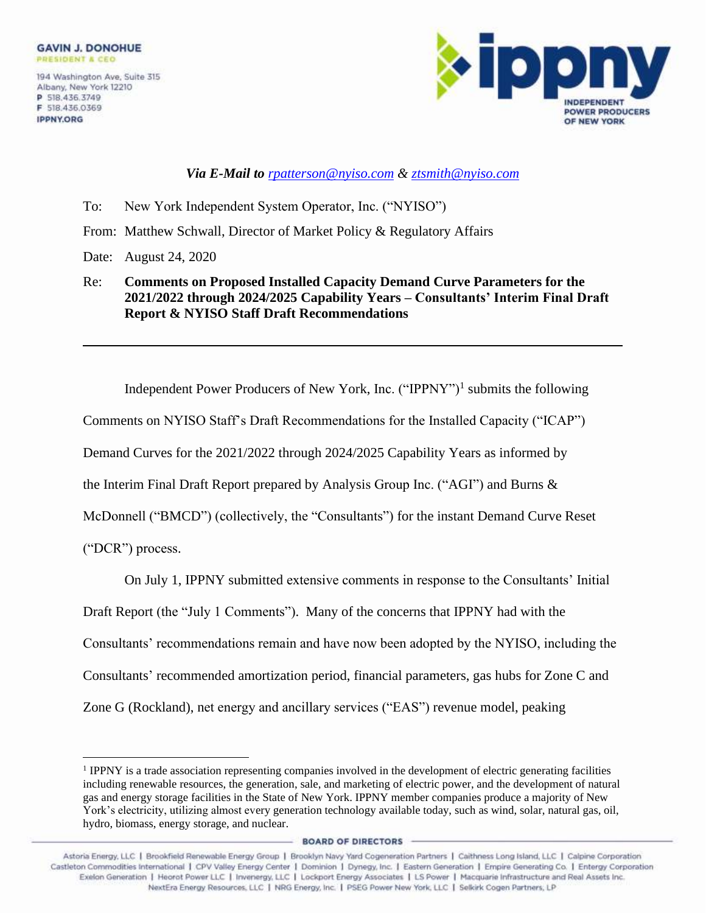**IPPNY.ORG** 



1

*Via E-Mail to [rpatterson@nyiso.com](mailto:rpatterson@nyiso.com) & ztsmith@nyiso.com*

- To: New York Independent System Operator, Inc. ("NYISO")
- From: Matthew Schwall, Director of Market Policy & Regulatory Affairs
- Date: August 24, 2020
- Re: **Comments on Proposed Installed Capacity Demand Curve Parameters for the 2021/2022 through 2024/2025 Capability Years – Consultants' Interim Final Draft Report & NYISO Staff Draft Recommendations**

Independent Power Producers of New York, Inc. ("IPPNY")<sup>1</sup> submits the following Comments on NYISO Staff's Draft Recommendations for the Installed Capacity ("ICAP") Demand Curves for the 2021/2022 through 2024/2025 Capability Years as informed by the Interim Final Draft Report prepared by Analysis Group Inc. ("AGI") and Burns & McDonnell ("BMCD") (collectively, the "Consultants") for the instant Demand Curve Reset ("DCR") process.

On July 1, IPPNY submitted extensive comments in response to the Consultants' Initial

Draft Report (the "July 1 Comments"). Many of the concerns that IPPNY had with the

Consultants' recommendations remain and have now been adopted by the NYISO, including the

Consultants' recommended amortization period, financial parameters, gas hubs for Zone C and

Zone G (Rockland), net energy and ancillary services ("EAS") revenue model, peaking

**BOARD OF DIRECTORS** 

<sup>&</sup>lt;sup>1</sup> IPPNY is a trade association representing companies involved in the development of electric generating facilities including renewable resources, the generation, sale, and marketing of electric power, and the development of natural gas and energy storage facilities in the State of New York. IPPNY member companies produce a majority of New York's electricity, utilizing almost every generation technology available today, such as wind, solar, natural gas, oil, hydro, biomass, energy storage, and nuclear.

Astoria Energy, LLC | Brookfield Renewable Energy Group | Brooklyn Navy Yard Cogeneration Partners | Caithness Long Island, LLC | Calpine Corporation Castleton Commodities International | CPV Valley Energy Center | Dominion | Dynegy, Inc. | Eastern Generation | Empire Generating Co. | Entergy Corporation Exelon Generation | Heorot Power LLC | Invenergy, LLC | Lockport Energy Associates | LS Power | Macquarie Infrastructure and Real Assets Inc. NextEra Energy Resources, LLC | NRG Energy, Inc. | PSEG Power New York, LLC | Selkirk Cogen Partners, LP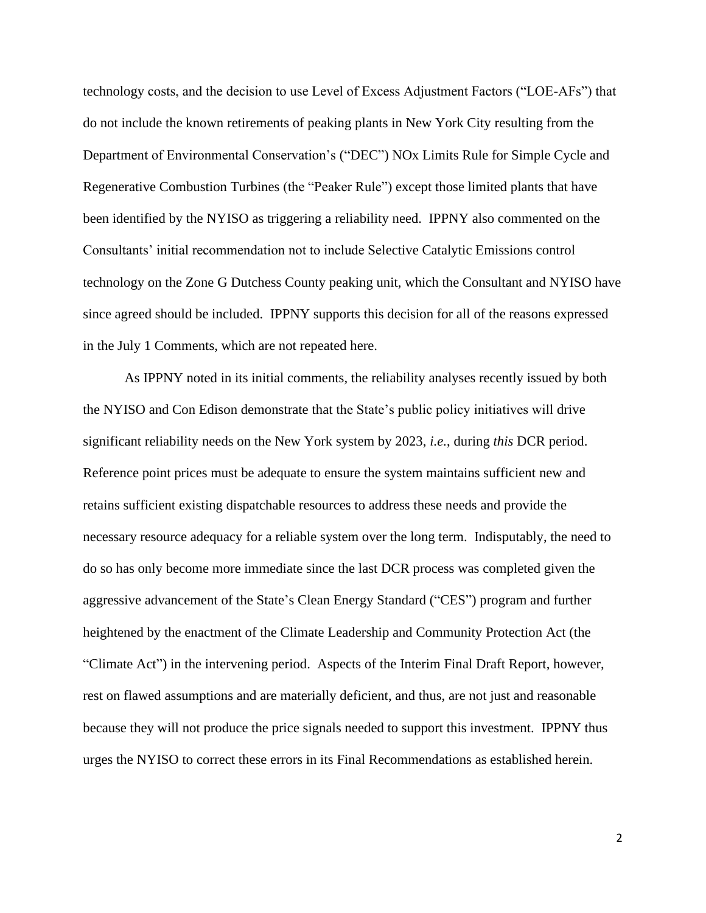technology costs, and the decision to use Level of Excess Adjustment Factors ("LOE-AFs") that do not include the known retirements of peaking plants in New York City resulting from the Department of Environmental Conservation's ("DEC") NOx Limits Rule for Simple Cycle and Regenerative Combustion Turbines (the "Peaker Rule") except those limited plants that have been identified by the NYISO as triggering a reliability need. IPPNY also commented on the Consultants' initial recommendation not to include Selective Catalytic Emissions control technology on the Zone G Dutchess County peaking unit, which the Consultant and NYISO have since agreed should be included. IPPNY supports this decision for all of the reasons expressed in the July 1 Comments, which are not repeated here.

As IPPNY noted in its initial comments, the reliability analyses recently issued by both the NYISO and Con Edison demonstrate that the State's public policy initiatives will drive significant reliability needs on the New York system by 2023, *i.e.*, during *this* DCR period. Reference point prices must be adequate to ensure the system maintains sufficient new and retains sufficient existing dispatchable resources to address these needs and provide the necessary resource adequacy for a reliable system over the long term. Indisputably, the need to do so has only become more immediate since the last DCR process was completed given the aggressive advancement of the State's Clean Energy Standard ("CES") program and further heightened by the enactment of the Climate Leadership and Community Protection Act (the "Climate Act") in the intervening period. Aspects of the Interim Final Draft Report, however, rest on flawed assumptions and are materially deficient, and thus, are not just and reasonable because they will not produce the price signals needed to support this investment. IPPNY thus urges the NYISO to correct these errors in its Final Recommendations as established herein.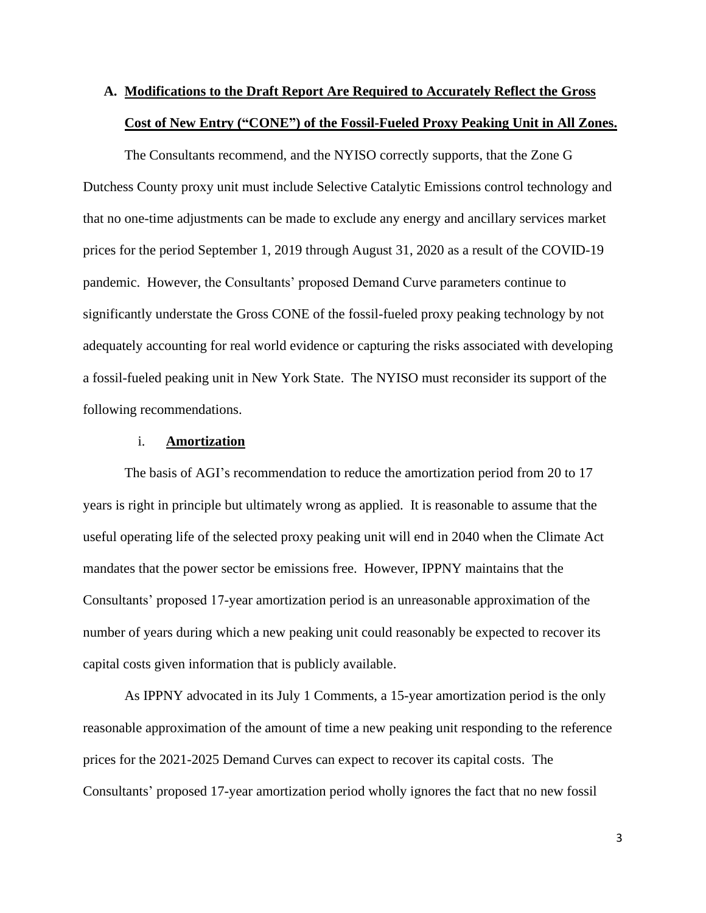## **A. Modifications to the Draft Report Are Required to Accurately Reflect the Gross Cost of New Entry ("CONE") of the Fossil-Fueled Proxy Peaking Unit in All Zones.**

The Consultants recommend, and the NYISO correctly supports, that the Zone G Dutchess County proxy unit must include Selective Catalytic Emissions control technology and that no one-time adjustments can be made to exclude any energy and ancillary services market prices for the period September 1, 2019 through August 31, 2020 as a result of the COVID-19 pandemic. However, the Consultants' proposed Demand Curve parameters continue to significantly understate the Gross CONE of the fossil-fueled proxy peaking technology by not adequately accounting for real world evidence or capturing the risks associated with developing a fossil-fueled peaking unit in New York State. The NYISO must reconsider its support of the following recommendations.

#### i. **Amortization**

The basis of AGI's recommendation to reduce the amortization period from 20 to 17 years is right in principle but ultimately wrong as applied. It is reasonable to assume that the useful operating life of the selected proxy peaking unit will end in 2040 when the Climate Act mandates that the power sector be emissions free. However, IPPNY maintains that the Consultants' proposed 17-year amortization period is an unreasonable approximation of the number of years during which a new peaking unit could reasonably be expected to recover its capital costs given information that is publicly available.

As IPPNY advocated in its July 1 Comments, a 15-year amortization period is the only reasonable approximation of the amount of time a new peaking unit responding to the reference prices for the 2021-2025 Demand Curves can expect to recover its capital costs. The Consultants' proposed 17-year amortization period wholly ignores the fact that no new fossil

3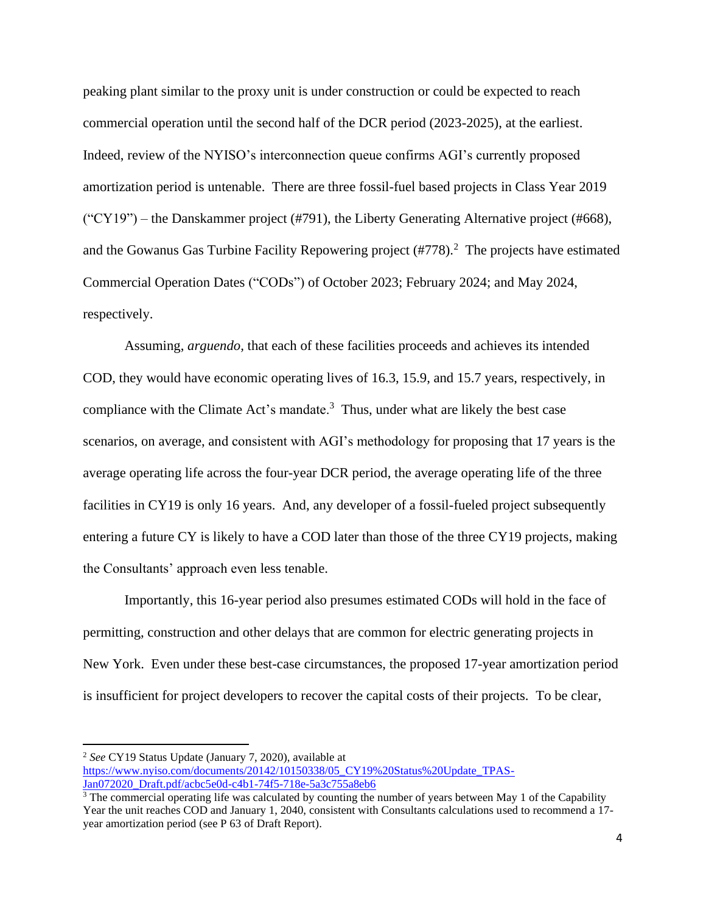peaking plant similar to the proxy unit is under construction or could be expected to reach commercial operation until the second half of the DCR period (2023-2025), at the earliest. Indeed, review of the NYISO's interconnection queue confirms AGI's currently proposed amortization period is untenable. There are three fossil-fuel based projects in Class Year 2019  $("CY19")$  – the Danskammer project (#791), the Liberty Generating Alternative project (#668), and the Gowanus Gas Turbine Facility Repowering project  $(\text{\#778})$ .<sup>2</sup> The projects have estimated Commercial Operation Dates ("CODs") of October 2023; February 2024; and May 2024, respectively.

Assuming, *arguendo,* that each of these facilities proceeds and achieves its intended COD, they would have economic operating lives of 16.3, 15.9, and 15.7 years, respectively, in compliance with the Climate Act's mandate. $3$  Thus, under what are likely the best case scenarios, on average, and consistent with AGI's methodology for proposing that 17 years is the average operating life across the four-year DCR period, the average operating life of the three facilities in CY19 is only 16 years. And, any developer of a fossil-fueled project subsequently entering a future CY is likely to have a COD later than those of the three CY19 projects, making the Consultants' approach even less tenable.

Importantly, this 16-year period also presumes estimated CODs will hold in the face of permitting, construction and other delays that are common for electric generating projects in New York. Even under these best-case circumstances, the proposed 17-year amortization period is insufficient for project developers to recover the capital costs of their projects. To be clear,

<sup>2</sup> *See* CY19 Status Update (January 7, 2020), available at [https://www.nyiso.com/documents/20142/10150338/05\\_CY19%20Status%20Update\\_TPAS-](https://www.nyiso.com/documents/20142/10150338/05_CY19%20Status%20Update_TPAS-Jan072020_Draft.pdf/acbc5e0d-c4b1-74f5-718e-5a3c755a8eb6)[Jan072020\\_Draft.pdf/acbc5e0d-c4b1-74f5-718e-5a3c755a8eb6](https://www.nyiso.com/documents/20142/10150338/05_CY19%20Status%20Update_TPAS-Jan072020_Draft.pdf/acbc5e0d-c4b1-74f5-718e-5a3c755a8eb6)

 $3$  The commercial operating life was calculated by counting the number of years between May 1 of the Capability Year the unit reaches COD and January 1, 2040, consistent with Consultants calculations used to recommend a 17 year amortization period (see P 63 of Draft Report).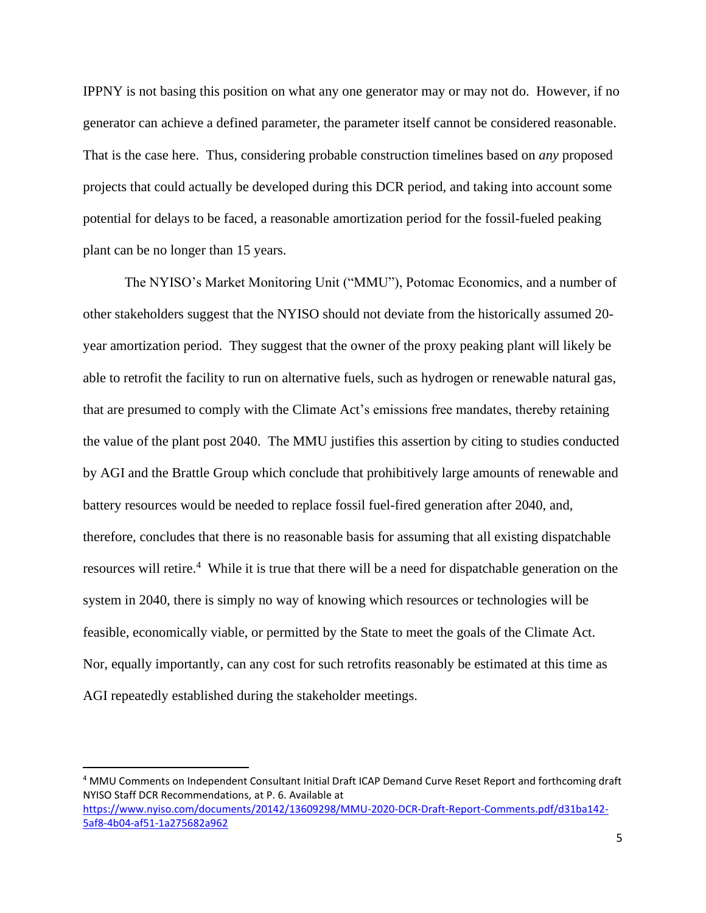IPPNY is not basing this position on what any one generator may or may not do. However, if no generator can achieve a defined parameter, the parameter itself cannot be considered reasonable. That is the case here. Thus, considering probable construction timelines based on *any* proposed projects that could actually be developed during this DCR period, and taking into account some potential for delays to be faced, a reasonable amortization period for the fossil-fueled peaking plant can be no longer than 15 years.

The NYISO's Market Monitoring Unit ("MMU"), Potomac Economics, and a number of other stakeholders suggest that the NYISO should not deviate from the historically assumed 20 year amortization period. They suggest that the owner of the proxy peaking plant will likely be able to retrofit the facility to run on alternative fuels, such as hydrogen or renewable natural gas, that are presumed to comply with the Climate Act's emissions free mandates, thereby retaining the value of the plant post 2040. The MMU justifies this assertion by citing to studies conducted by AGI and the Brattle Group which conclude that prohibitively large amounts of renewable and battery resources would be needed to replace fossil fuel-fired generation after 2040, and, therefore, concludes that there is no reasonable basis for assuming that all existing dispatchable resources will retire.<sup>4</sup> While it is true that there will be a need for dispatchable generation on the system in 2040, there is simply no way of knowing which resources or technologies will be feasible, economically viable, or permitted by the State to meet the goals of the Climate Act. Nor, equally importantly, can any cost for such retrofits reasonably be estimated at this time as AGI repeatedly established during the stakeholder meetings.

<sup>4</sup> MMU Comments on Independent Consultant Initial Draft ICAP Demand Curve Reset Report and forthcoming draft NYISO Staff DCR Recommendations, at P. 6. Available at [https://www.nyiso.com/documents/20142/13609298/MMU-2020-DCR-Draft-Report-Comments.pdf/d31ba142-](https://www.nyiso.com/documents/20142/13609298/MMU-2020-DCR-Draft-Report-Comments.pdf/d31ba142-5af8-4b04-af51-1a275682a962) [5af8-4b04-af51-1a275682a962](https://www.nyiso.com/documents/20142/13609298/MMU-2020-DCR-Draft-Report-Comments.pdf/d31ba142-5af8-4b04-af51-1a275682a962)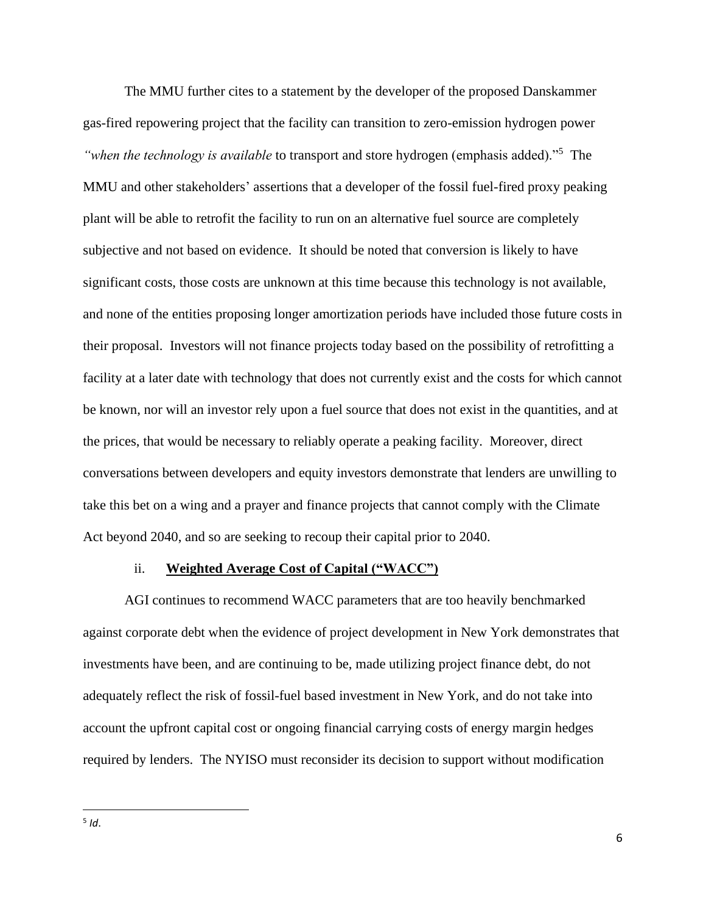The MMU further cites to a statement by the developer of the proposed Danskammer gas-fired repowering project that the facility can transition to zero-emission hydrogen power "when the technology is available to transport and store hydrogen (emphasis added)."<sup>5</sup> The MMU and other stakeholders' assertions that a developer of the fossil fuel-fired proxy peaking plant will be able to retrofit the facility to run on an alternative fuel source are completely subjective and not based on evidence. It should be noted that conversion is likely to have significant costs, those costs are unknown at this time because this technology is not available, and none of the entities proposing longer amortization periods have included those future costs in their proposal. Investors will not finance projects today based on the possibility of retrofitting a facility at a later date with technology that does not currently exist and the costs for which cannot be known, nor will an investor rely upon a fuel source that does not exist in the quantities, and at the prices, that would be necessary to reliably operate a peaking facility. Moreover, direct conversations between developers and equity investors demonstrate that lenders are unwilling to take this bet on a wing and a prayer and finance projects that cannot comply with the Climate Act beyond 2040, and so are seeking to recoup their capital prior to 2040.

### ii. **Weighted Average Cost of Capital ("WACC")**

AGI continues to recommend WACC parameters that are too heavily benchmarked against corporate debt when the evidence of project development in New York demonstrates that investments have been, and are continuing to be, made utilizing project finance debt, do not adequately reflect the risk of fossil-fuel based investment in New York, and do not take into account the upfront capital cost or ongoing financial carrying costs of energy margin hedges required by lenders. The NYISO must reconsider its decision to support without modification

5 *Id*.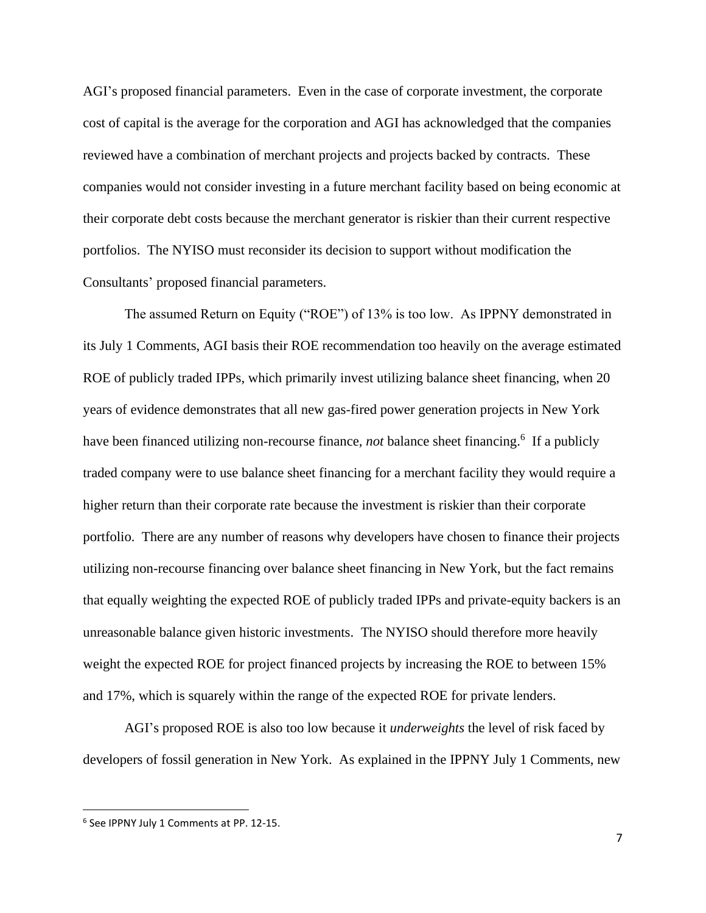AGI's proposed financial parameters. Even in the case of corporate investment, the corporate cost of capital is the average for the corporation and AGI has acknowledged that the companies reviewed have a combination of merchant projects and projects backed by contracts. These companies would not consider investing in a future merchant facility based on being economic at their corporate debt costs because the merchant generator is riskier than their current respective portfolios. The NYISO must reconsider its decision to support without modification the Consultants' proposed financial parameters.

The assumed Return on Equity ("ROE") of 13% is too low. As IPPNY demonstrated in its July 1 Comments, AGI basis their ROE recommendation too heavily on the average estimated ROE of publicly traded IPPs, which primarily invest utilizing balance sheet financing, when 20 years of evidence demonstrates that all new gas-fired power generation projects in New York have been financed utilizing non-recourse finance, *not* balance sheet financing.<sup>6</sup> If a publicly traded company were to use balance sheet financing for a merchant facility they would require a higher return than their corporate rate because the investment is riskier than their corporate portfolio. There are any number of reasons why developers have chosen to finance their projects utilizing non-recourse financing over balance sheet financing in New York, but the fact remains that equally weighting the expected ROE of publicly traded IPPs and private-equity backers is an unreasonable balance given historic investments. The NYISO should therefore more heavily weight the expected ROE for project financed projects by increasing the ROE to between 15% and 17%, which is squarely within the range of the expected ROE for private lenders.

AGI's proposed ROE is also too low because it *underweights* the level of risk faced by developers of fossil generation in New York. As explained in the IPPNY July 1 Comments, new

<sup>6</sup> See IPPNY July 1 Comments at PP. 12-15.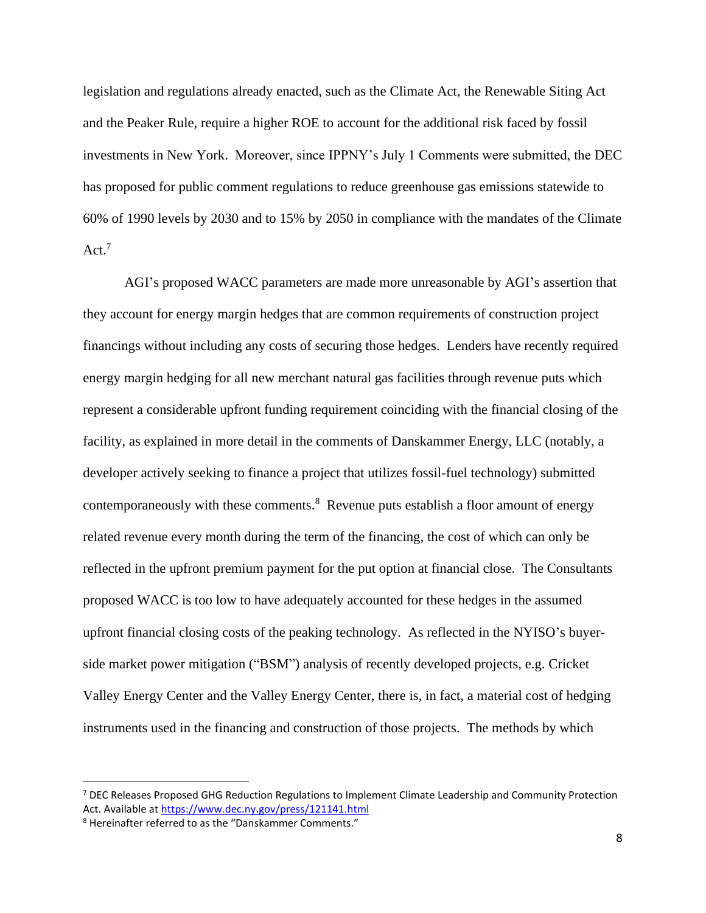legislation and regulations already enacted, such as the Climate Act, the Renewable Siting Act and the Peaker Rule, require a higher ROE to account for the additional risk faced by fossil investments in New York. Moreover, since IPPNY's July 1 Comments were submitted, the DEC has proposed for public comment regulations to reduce greenhouse gas emissions statewide to 60% of 1990 levels by 2030 and to 15% by 2050 in compliance with the mandates of the Climate Act. 7

AGI's proposed WACC parameters are made more unreasonable by AGI's assertion that they account for energy margin hedges that are common requirements of construction project financings without including any costs of securing those hedges. Lenders have recently required energy margin hedging for all new merchant natural gas facilities through revenue puts which represent a considerable upfront funding requirement coinciding with the financial closing of the facility, as explained in more detail in the comments of Danskammer Energy, LLC (notably, a developer actively seeking to finance a project that utilizes fossil-fuel technology) submitted contemporaneously with these comments. $8$  Revenue puts establish a floor amount of energy related revenue every month during the term of the financing, the cost of which can only be reflected in the upfront premium payment for the put option at financial close. The Consultants proposed WACC is too low to have adequately accounted for these hedges in the assumed upfront financial closing costs of the peaking technology. As reflected in the NYISO's buyerside market power mitigation ("BSM") analysis of recently developed projects, e.g. Cricket Valley Energy Center and the Valley Energy Center, there is, in fact, a material cost of hedging instruments used in the financing and construction of those projects. The methods by which

<sup>7</sup> DEC Releases Proposed GHG Reduction Regulations to Implement Climate Leadership and Community Protection Act. Available at<https://www.dec.ny.gov/press/121141.html>

<sup>8</sup> Hereinafter referred to as the "Danskammer Comments."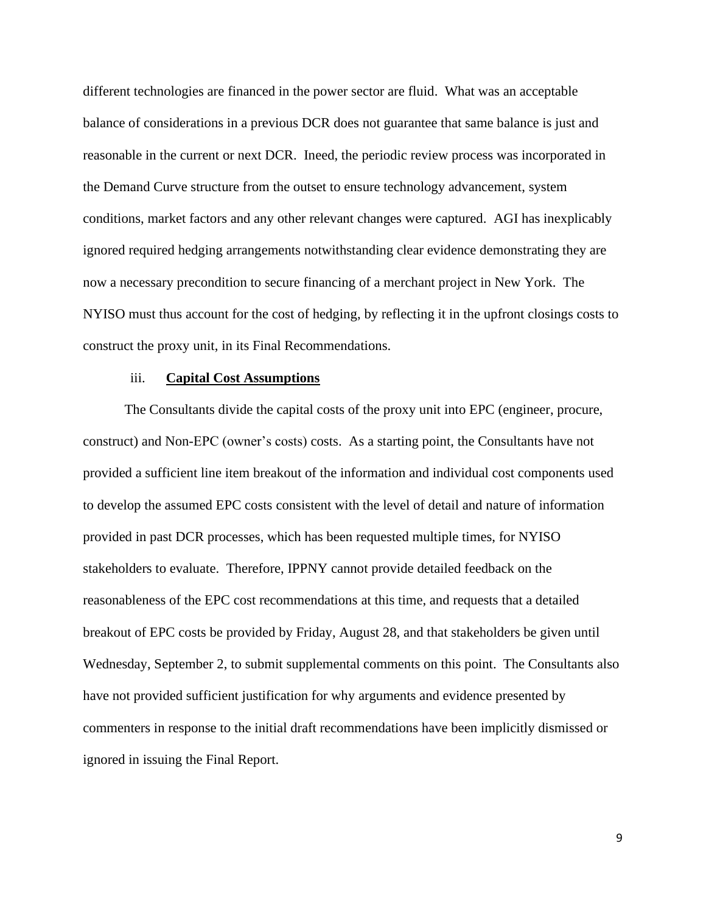different technologies are financed in the power sector are fluid. What was an acceptable balance of considerations in a previous DCR does not guarantee that same balance is just and reasonable in the current or next DCR. Ineed, the periodic review process was incorporated in the Demand Curve structure from the outset to ensure technology advancement, system conditions, market factors and any other relevant changes were captured. AGI has inexplicably ignored required hedging arrangements notwithstanding clear evidence demonstrating they are now a necessary precondition to secure financing of a merchant project in New York. The NYISO must thus account for the cost of hedging, by reflecting it in the upfront closings costs to construct the proxy unit, in its Final Recommendations.

#### iii. **Capital Cost Assumptions**

The Consultants divide the capital costs of the proxy unit into EPC (engineer, procure, construct) and Non-EPC (owner's costs) costs. As a starting point, the Consultants have not provided a sufficient line item breakout of the information and individual cost components used to develop the assumed EPC costs consistent with the level of detail and nature of information provided in past DCR processes, which has been requested multiple times, for NYISO stakeholders to evaluate. Therefore, IPPNY cannot provide detailed feedback on the reasonableness of the EPC cost recommendations at this time, and requests that a detailed breakout of EPC costs be provided by Friday, August 28, and that stakeholders be given until Wednesday, September 2, to submit supplemental comments on this point. The Consultants also have not provided sufficient justification for why arguments and evidence presented by commenters in response to the initial draft recommendations have been implicitly dismissed or ignored in issuing the Final Report.

9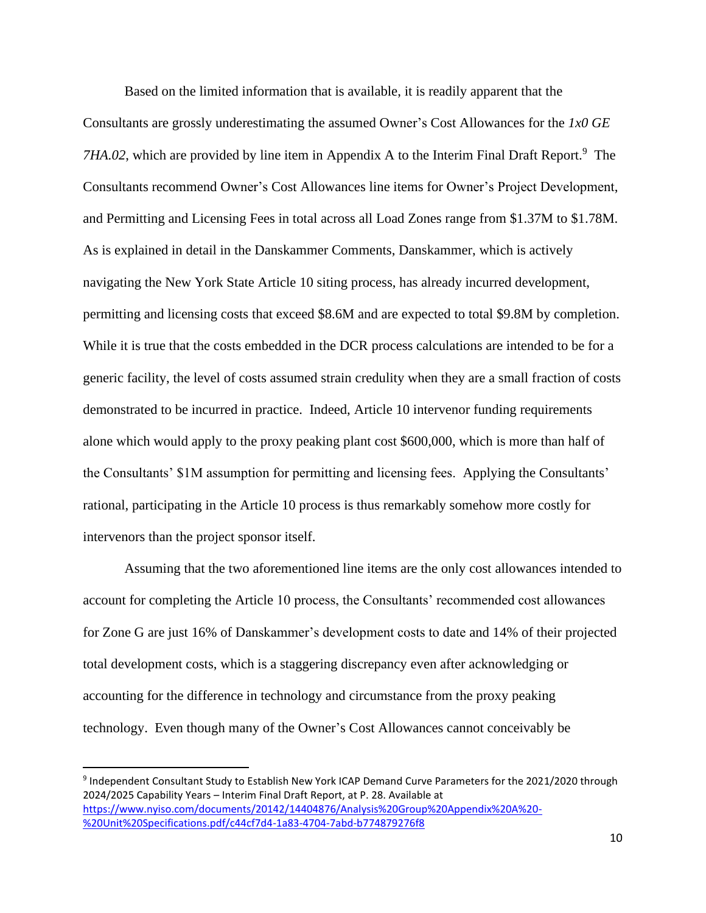Based on the limited information that is available, it is readily apparent that the Consultants are grossly underestimating the assumed Owner's Cost Allowances for the *1x0 GE*  7HA.02, which are provided by line item in Appendix A to the Interim Final Draft Report.<sup>9</sup> The Consultants recommend Owner's Cost Allowances line items for Owner's Project Development, and Permitting and Licensing Fees in total across all Load Zones range from \$1.37M to \$1.78M. As is explained in detail in the Danskammer Comments, Danskammer, which is actively navigating the New York State Article 10 siting process, has already incurred development, permitting and licensing costs that exceed \$8.6M and are expected to total \$9.8M by completion. While it is true that the costs embedded in the DCR process calculations are intended to be for a generic facility, the level of costs assumed strain credulity when they are a small fraction of costs demonstrated to be incurred in practice. Indeed, Article 10 intervenor funding requirements alone which would apply to the proxy peaking plant cost \$600,000, which is more than half of the Consultants' \$1M assumption for permitting and licensing fees. Applying the Consultants' rational, participating in the Article 10 process is thus remarkably somehow more costly for intervenors than the project sponsor itself.

Assuming that the two aforementioned line items are the only cost allowances intended to account for completing the Article 10 process, the Consultants' recommended cost allowances for Zone G are just 16% of Danskammer's development costs to date and 14% of their projected total development costs, which is a staggering discrepancy even after acknowledging or accounting for the difference in technology and circumstance from the proxy peaking technology. Even though many of the Owner's Cost Allowances cannot conceivably be

<sup>9</sup> Independent Consultant Study to Establish New York ICAP Demand Curve Parameters for the 2021/2020 through 2024/2025 Capability Years – Interim Final Draft Report, at P. 28. Available at [https://www.nyiso.com/documents/20142/14404876/Analysis%20Group%20Appendix%20A%20-](https://www.nyiso.com/documents/20142/14404876/Analysis%20Group%20Appendix%20A%20-%20Unit%20Specifications.pdf/c44cf7d4-1a83-4704-7abd-b774879276f8) [%20Unit%20Specifications.pdf/c44cf7d4-1a83-4704-7abd-b774879276f8](https://www.nyiso.com/documents/20142/14404876/Analysis%20Group%20Appendix%20A%20-%20Unit%20Specifications.pdf/c44cf7d4-1a83-4704-7abd-b774879276f8)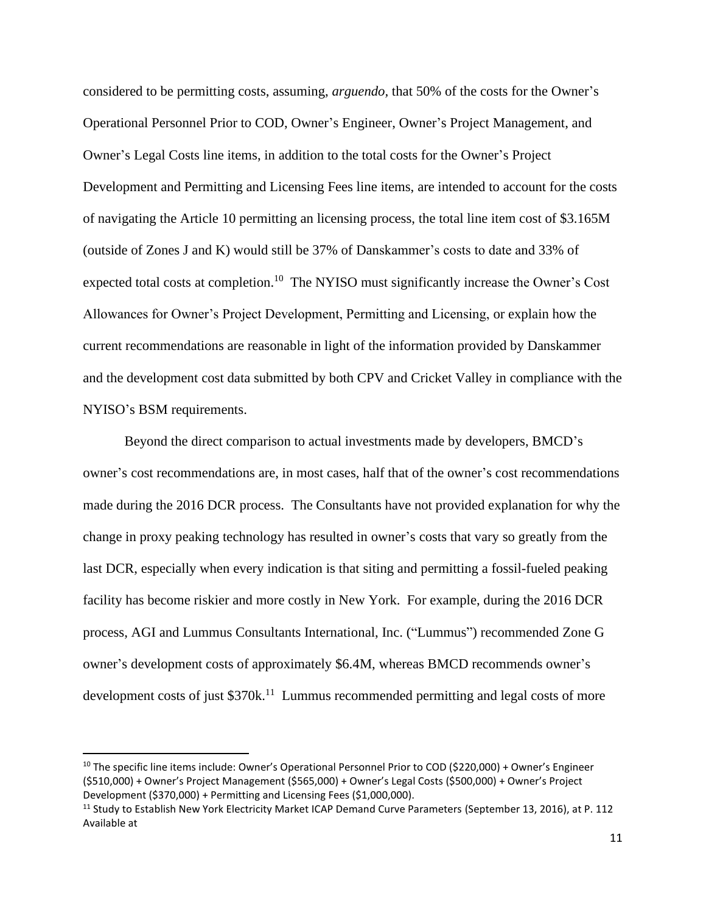considered to be permitting costs, assuming, *arguendo,* that 50% of the costs for the Owner's Operational Personnel Prior to COD, Owner's Engineer, Owner's Project Management, and Owner's Legal Costs line items, in addition to the total costs for the Owner's Project Development and Permitting and Licensing Fees line items, are intended to account for the costs of navigating the Article 10 permitting an licensing process, the total line item cost of \$3.165M (outside of Zones J and K) would still be 37% of Danskammer's costs to date and 33% of expected total costs at completion.<sup>10</sup> The NYISO must significantly increase the Owner's Cost Allowances for Owner's Project Development, Permitting and Licensing, or explain how the current recommendations are reasonable in light of the information provided by Danskammer and the development cost data submitted by both CPV and Cricket Valley in compliance with the NYISO's BSM requirements.

Beyond the direct comparison to actual investments made by developers, BMCD's owner's cost recommendations are, in most cases, half that of the owner's cost recommendations made during the 2016 DCR process. The Consultants have not provided explanation for why the change in proxy peaking technology has resulted in owner's costs that vary so greatly from the last DCR, especially when every indication is that siting and permitting a fossil-fueled peaking facility has become riskier and more costly in New York. For example, during the 2016 DCR process, AGI and Lummus Consultants International, Inc. ("Lummus") recommended Zone G owner's development costs of approximately \$6.4M, whereas BMCD recommends owner's development costs of just \$370k.<sup>11</sup> Lummus recommended permitting and legal costs of more

<sup>&</sup>lt;sup>10</sup> The specific line items include: Owner's Operational Personnel Prior to COD (\$220,000) + Owner's Engineer (\$510,000) + Owner's Project Management (\$565,000) + Owner's Legal Costs (\$500,000) + Owner's Project Development (\$370,000) + Permitting and Licensing Fees (\$1,000,000).

<sup>&</sup>lt;sup>11</sup> Study to Establish New York Electricity Market ICAP Demand Curve Parameters (September 13, 2016), at P. 112 Available at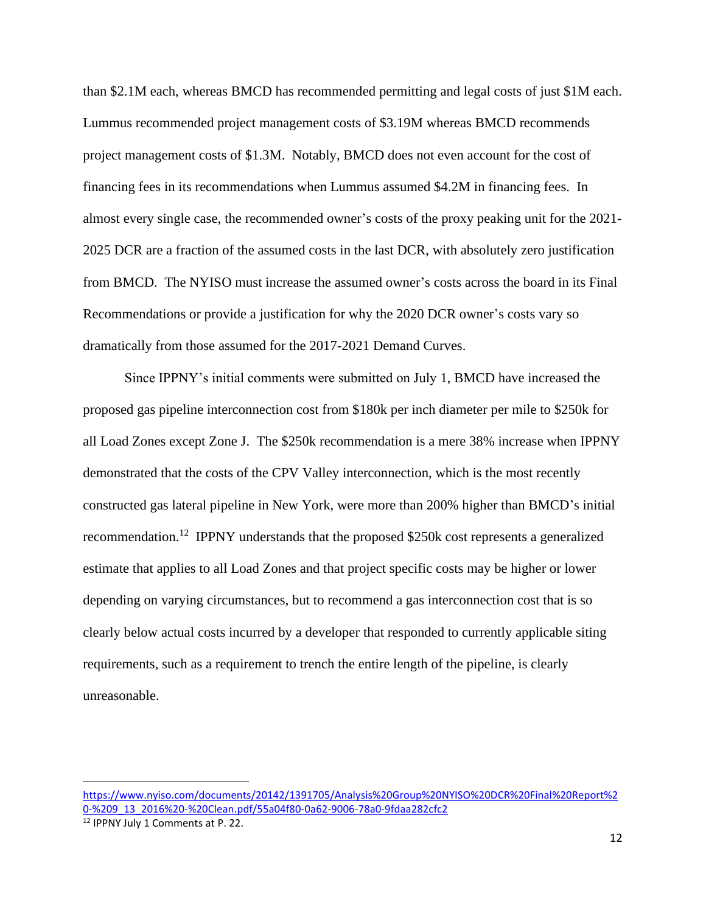than \$2.1M each, whereas BMCD has recommended permitting and legal costs of just \$1M each. Lummus recommended project management costs of \$3.19M whereas BMCD recommends project management costs of \$1.3M. Notably, BMCD does not even account for the cost of financing fees in its recommendations when Lummus assumed \$4.2M in financing fees. In almost every single case, the recommended owner's costs of the proxy peaking unit for the 2021- 2025 DCR are a fraction of the assumed costs in the last DCR, with absolutely zero justification from BMCD. The NYISO must increase the assumed owner's costs across the board in its Final Recommendations or provide a justification for why the 2020 DCR owner's costs vary so dramatically from those assumed for the 2017-2021 Demand Curves.

Since IPPNY's initial comments were submitted on July 1, BMCD have increased the proposed gas pipeline interconnection cost from \$180k per inch diameter per mile to \$250k for all Load Zones except Zone J. The \$250k recommendation is a mere 38% increase when IPPNY demonstrated that the costs of the CPV Valley interconnection, which is the most recently constructed gas lateral pipeline in New York, were more than 200% higher than BMCD's initial recommendation.<sup>12</sup> IPPNY understands that the proposed \$250k cost represents a generalized estimate that applies to all Load Zones and that project specific costs may be higher or lower depending on varying circumstances, but to recommend a gas interconnection cost that is so clearly below actual costs incurred by a developer that responded to currently applicable siting requirements, such as a requirement to trench the entire length of the pipeline, is clearly unreasonable.

[https://www.nyiso.com/documents/20142/1391705/Analysis%20Group%20NYISO%20DCR%20Final%20Report%2](https://www.nyiso.com/documents/20142/1391705/Analysis%20Group%20NYISO%20DCR%20Final%20Report%20-%209_13_2016%20-%20Clean.pdf/55a04f80-0a62-9006-78a0-9fdaa282cfc2) [0-%209\\_13\\_2016%20-%20Clean.pdf/55a04f80-0a62-9006-78a0-9fdaa282cfc2](https://www.nyiso.com/documents/20142/1391705/Analysis%20Group%20NYISO%20DCR%20Final%20Report%20-%209_13_2016%20-%20Clean.pdf/55a04f80-0a62-9006-78a0-9fdaa282cfc2)

<sup>12</sup> IPPNY July 1 Comments at P. 22.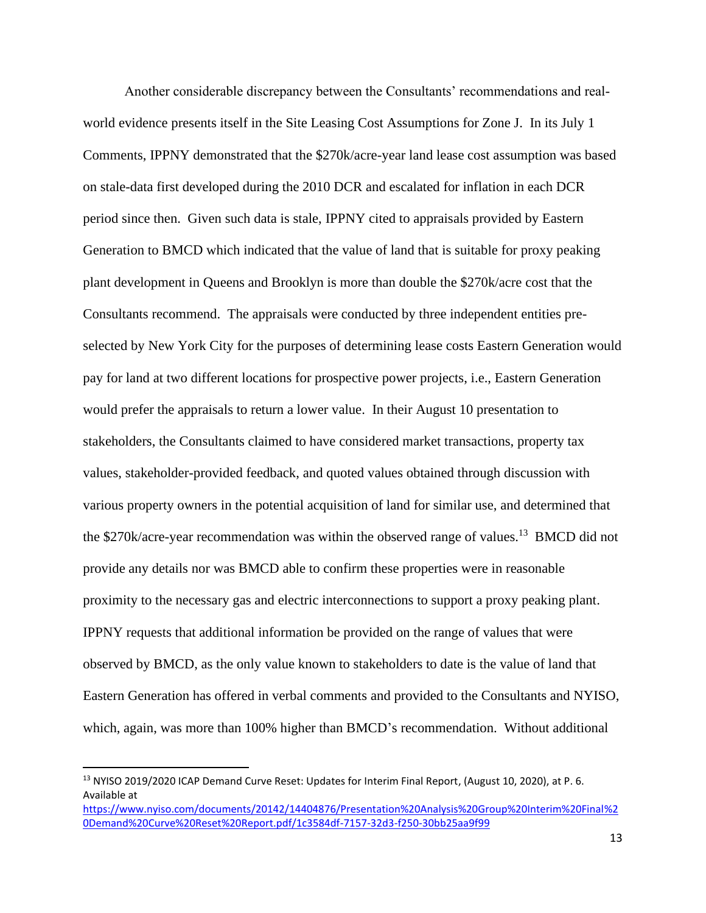Another considerable discrepancy between the Consultants' recommendations and realworld evidence presents itself in the Site Leasing Cost Assumptions for Zone J. In its July 1 Comments, IPPNY demonstrated that the \$270k/acre-year land lease cost assumption was based on stale-data first developed during the 2010 DCR and escalated for inflation in each DCR period since then. Given such data is stale, IPPNY cited to appraisals provided by Eastern Generation to BMCD which indicated that the value of land that is suitable for proxy peaking plant development in Queens and Brooklyn is more than double the \$270k/acre cost that the Consultants recommend. The appraisals were conducted by three independent entities preselected by New York City for the purposes of determining lease costs Eastern Generation would pay for land at two different locations for prospective power projects, i.e., Eastern Generation would prefer the appraisals to return a lower value. In their August 10 presentation to stakeholders, the Consultants claimed to have considered market transactions, property tax values, stakeholder-provided feedback, and quoted values obtained through discussion with various property owners in the potential acquisition of land for similar use, and determined that the \$270k/acre-year recommendation was within the observed range of values.<sup>13</sup> BMCD did not provide any details nor was BMCD able to confirm these properties were in reasonable proximity to the necessary gas and electric interconnections to support a proxy peaking plant. IPPNY requests that additional information be provided on the range of values that were observed by BMCD, as the only value known to stakeholders to date is the value of land that Eastern Generation has offered in verbal comments and provided to the Consultants and NYISO, which, again, was more than 100% higher than BMCD's recommendation. Without additional

<sup>&</sup>lt;sup>13</sup> NYISO 2019/2020 ICAP Demand Curve Reset: Updates for Interim Final Report, (August 10, 2020), at P. 6. Available at

[https://www.nyiso.com/documents/20142/14404876/Presentation%20Analysis%20Group%20Interim%20Final%2](https://www.nyiso.com/documents/20142/14404876/Presentation%20Analysis%20Group%20Interim%20Final%20Demand%20Curve%20Reset%20Report.pdf/1c3584df-7157-32d3-f250-30bb25aa9f99) [0Demand%20Curve%20Reset%20Report.pdf/1c3584df-7157-32d3-f250-30bb25aa9f99](https://www.nyiso.com/documents/20142/14404876/Presentation%20Analysis%20Group%20Interim%20Final%20Demand%20Curve%20Reset%20Report.pdf/1c3584df-7157-32d3-f250-30bb25aa9f99)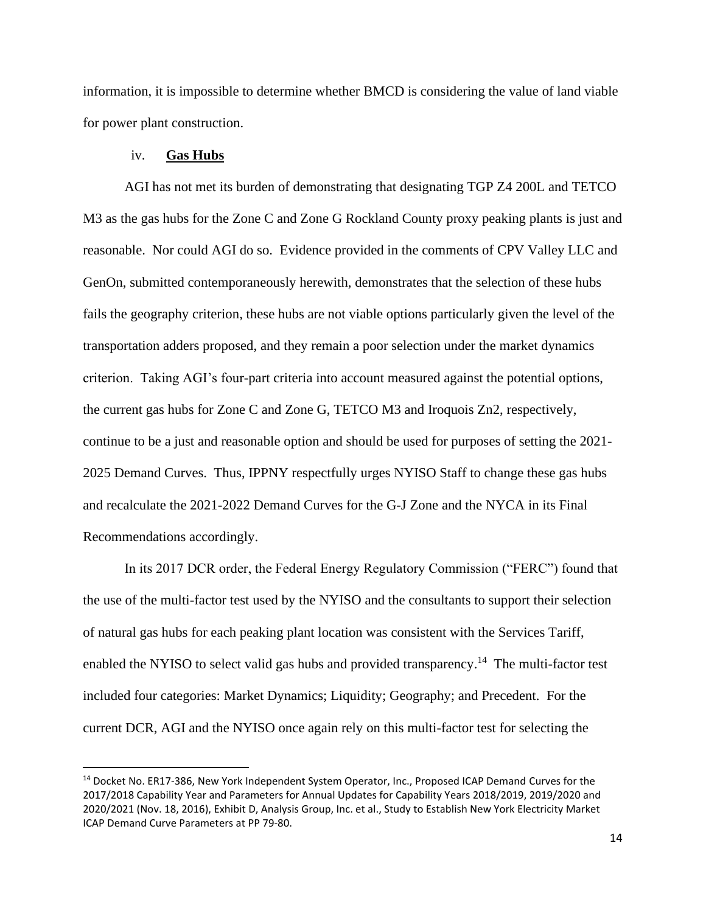information, it is impossible to determine whether BMCD is considering the value of land viable for power plant construction.

#### iv. **Gas Hubs**

AGI has not met its burden of demonstrating that designating TGP Z4 200L and TETCO M3 as the gas hubs for the Zone C and Zone G Rockland County proxy peaking plants is just and reasonable. Nor could AGI do so. Evidence provided in the comments of CPV Valley LLC and GenOn, submitted contemporaneously herewith, demonstrates that the selection of these hubs fails the geography criterion, these hubs are not viable options particularly given the level of the transportation adders proposed, and they remain a poor selection under the market dynamics criterion. Taking AGI's four-part criteria into account measured against the potential options, the current gas hubs for Zone C and Zone G, TETCO M3 and Iroquois Zn2, respectively, continue to be a just and reasonable option and should be used for purposes of setting the 2021- 2025 Demand Curves. Thus, IPPNY respectfully urges NYISO Staff to change these gas hubs and recalculate the 2021-2022 Demand Curves for the G-J Zone and the NYCA in its Final Recommendations accordingly.

In its 2017 DCR order, the Federal Energy Regulatory Commission ("FERC") found that the use of the multi-factor test used by the NYISO and the consultants to support their selection of natural gas hubs for each peaking plant location was consistent with the Services Tariff, enabled the NYISO to select valid gas hubs and provided transparency.<sup>14</sup> The multi-factor test included four categories: Market Dynamics; Liquidity; Geography; and Precedent. For the current DCR, AGI and the NYISO once again rely on this multi-factor test for selecting the

<sup>&</sup>lt;sup>14</sup> Docket No. ER17-386, New York Independent System Operator, Inc., Proposed ICAP Demand Curves for the 2017/2018 Capability Year and Parameters for Annual Updates for Capability Years 2018/2019, 2019/2020 and 2020/2021 (Nov. 18, 2016), Exhibit D, Analysis Group, Inc. et al., Study to Establish New York Electricity Market ICAP Demand Curve Parameters at PP 79-80.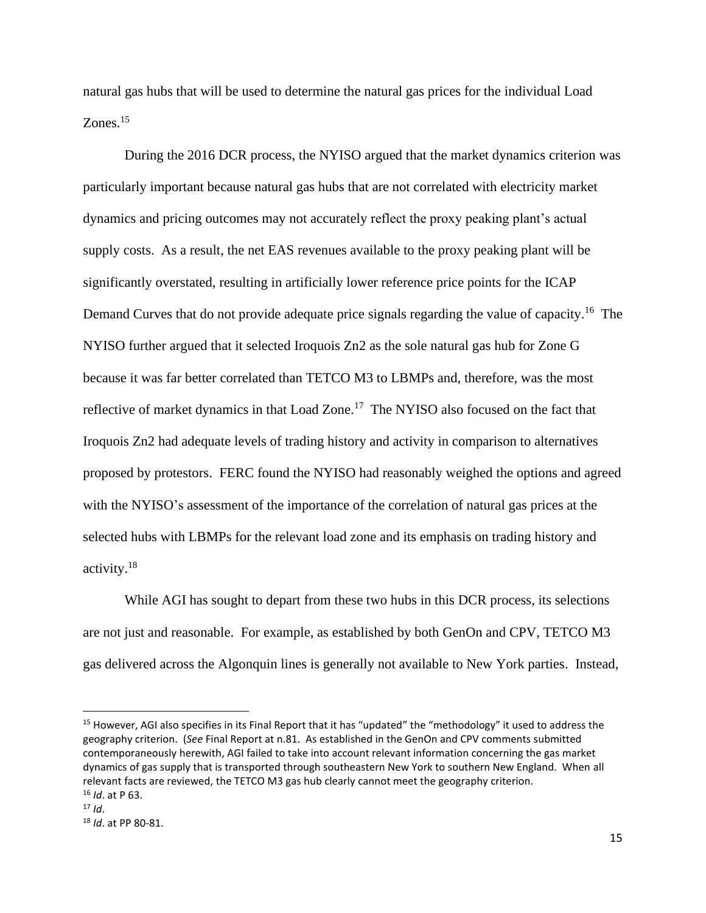natural gas hubs that will be used to determine the natural gas prices for the individual Load Zones.<sup>15</sup>

During the 2016 DCR process, the NYISO argued that the market dynamics criterion was particularly important because natural gas hubs that are not correlated with electricity market dynamics and pricing outcomes may not accurately reflect the proxy peaking plant's actual supply costs. As a result, the net EAS revenues available to the proxy peaking plant will be significantly overstated, resulting in artificially lower reference price points for the ICAP Demand Curves that do not provide adequate price signals regarding the value of capacity.<sup>16</sup> The NYISO further argued that it selected Iroquois Zn2 as the sole natural gas hub for Zone G because it was far better correlated than TETCO M3 to LBMPs and, therefore, was the most reflective of market dynamics in that Load Zone.<sup>17</sup> The NYISO also focused on the fact that Iroquois Zn2 had adequate levels of trading history and activity in comparison to alternatives proposed by protestors. FERC found the NYISO had reasonably weighed the options and agreed with the NYISO's assessment of the importance of the correlation of natural gas prices at the selected hubs with LBMPs for the relevant load zone and its emphasis on trading history and activity. 18

While AGI has sought to depart from these two hubs in this DCR process, its selections are not just and reasonable. For example, as established by both GenOn and CPV, TETCO M3 gas delivered across the Algonquin lines is generally not available to New York parties. Instead,

<sup>&</sup>lt;sup>15</sup> However, AGI also specifies in its Final Report that it has "updated" the "methodology" it used to address the geography criterion. (*See* Final Report at n.81. As established in the GenOn and CPV comments submitted contemporaneously herewith, AGI failed to take into account relevant information concerning the gas market dynamics of gas supply that is transported through southeastern New York to southern New England. When all relevant facts are reviewed, the TETCO M3 gas hub clearly cannot meet the geography criterion. <sup>16</sup> *Id*. at P 63.

 $17$  *Id*.

<sup>18</sup> *Id*. at PP 80-81.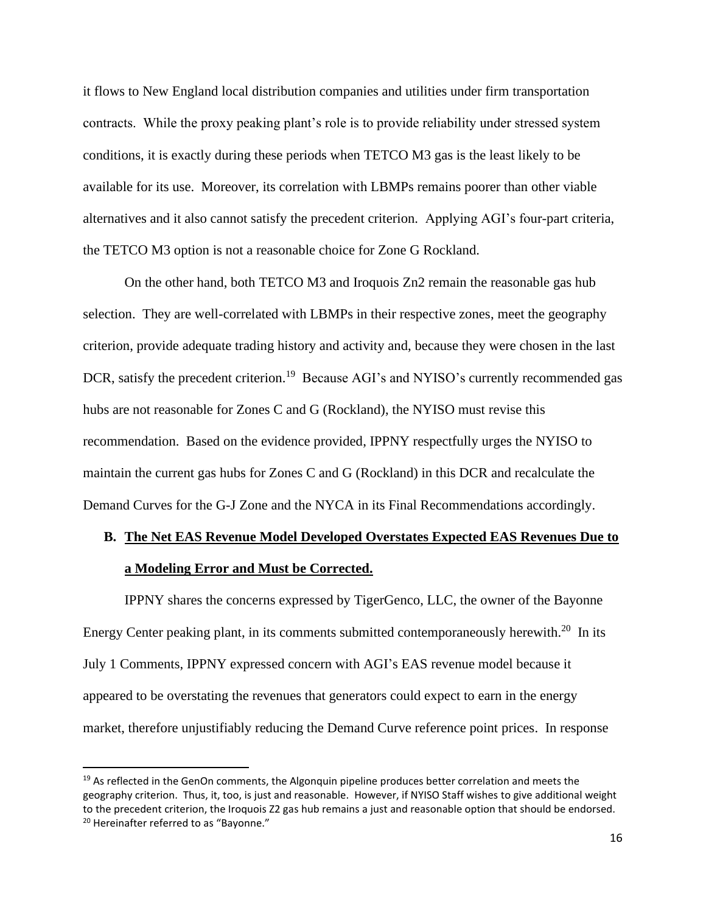it flows to New England local distribution companies and utilities under firm transportation contracts. While the proxy peaking plant's role is to provide reliability under stressed system conditions, it is exactly during these periods when TETCO M3 gas is the least likely to be available for its use. Moreover, its correlation with LBMPs remains poorer than other viable alternatives and it also cannot satisfy the precedent criterion. Applying AGI's four-part criteria, the TETCO M3 option is not a reasonable choice for Zone G Rockland.

On the other hand, both TETCO M3 and Iroquois Zn2 remain the reasonable gas hub selection. They are well-correlated with LBMPs in their respective zones, meet the geography criterion, provide adequate trading history and activity and, because they were chosen in the last DCR, satisfy the precedent criterion.<sup>19</sup> Because AGI's and NYISO's currently recommended gas hubs are not reasonable for Zones C and G (Rockland), the NYISO must revise this recommendation. Based on the evidence provided, IPPNY respectfully urges the NYISO to maintain the current gas hubs for Zones C and G (Rockland) in this DCR and recalculate the Demand Curves for the G-J Zone and the NYCA in its Final Recommendations accordingly.

## **B. The Net EAS Revenue Model Developed Overstates Expected EAS Revenues Due to a Modeling Error and Must be Corrected.**

IPPNY shares the concerns expressed by TigerGenco, LLC, the owner of the Bayonne Energy Center peaking plant, in its comments submitted contemporaneously herewith.<sup>20</sup> In its July 1 Comments, IPPNY expressed concern with AGI's EAS revenue model because it appeared to be overstating the revenues that generators could expect to earn in the energy market, therefore unjustifiably reducing the Demand Curve reference point prices. In response

 $19$  As reflected in the GenOn comments, the Algonquin pipeline produces better correlation and meets the geography criterion. Thus, it, too, is just and reasonable. However, if NYISO Staff wishes to give additional weight to the precedent criterion, the Iroquois Z2 gas hub remains a just and reasonable option that should be endorsed. <sup>20</sup> Hereinafter referred to as "Bayonne."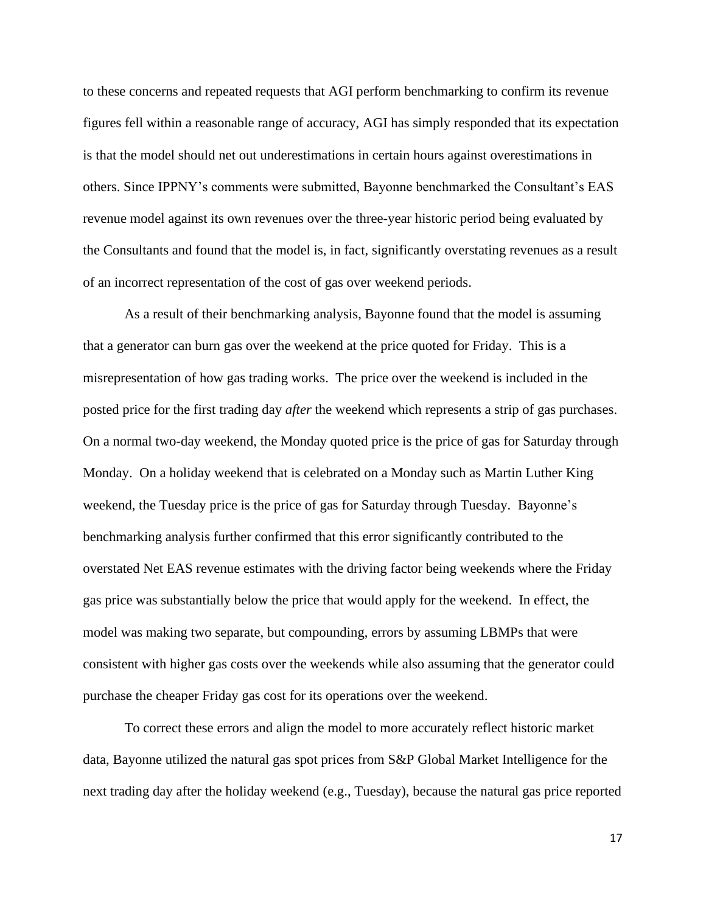to these concerns and repeated requests that AGI perform benchmarking to confirm its revenue figures fell within a reasonable range of accuracy, AGI has simply responded that its expectation is that the model should net out underestimations in certain hours against overestimations in others. Since IPPNY's comments were submitted, Bayonne benchmarked the Consultant's EAS revenue model against its own revenues over the three-year historic period being evaluated by the Consultants and found that the model is, in fact, significantly overstating revenues as a result of an incorrect representation of the cost of gas over weekend periods.

As a result of their benchmarking analysis, Bayonne found that the model is assuming that a generator can burn gas over the weekend at the price quoted for Friday. This is a misrepresentation of how gas trading works. The price over the weekend is included in the posted price for the first trading day *after* the weekend which represents a strip of gas purchases. On a normal two-day weekend, the Monday quoted price is the price of gas for Saturday through Monday. On a holiday weekend that is celebrated on a Monday such as Martin Luther King weekend, the Tuesday price is the price of gas for Saturday through Tuesday. Bayonne's benchmarking analysis further confirmed that this error significantly contributed to the overstated Net EAS revenue estimates with the driving factor being weekends where the Friday gas price was substantially below the price that would apply for the weekend. In effect, the model was making two separate, but compounding, errors by assuming LBMPs that were consistent with higher gas costs over the weekends while also assuming that the generator could purchase the cheaper Friday gas cost for its operations over the weekend.

To correct these errors and align the model to more accurately reflect historic market data, Bayonne utilized the natural gas spot prices from S&P Global Market Intelligence for the next trading day after the holiday weekend (e.g., Tuesday), because the natural gas price reported

17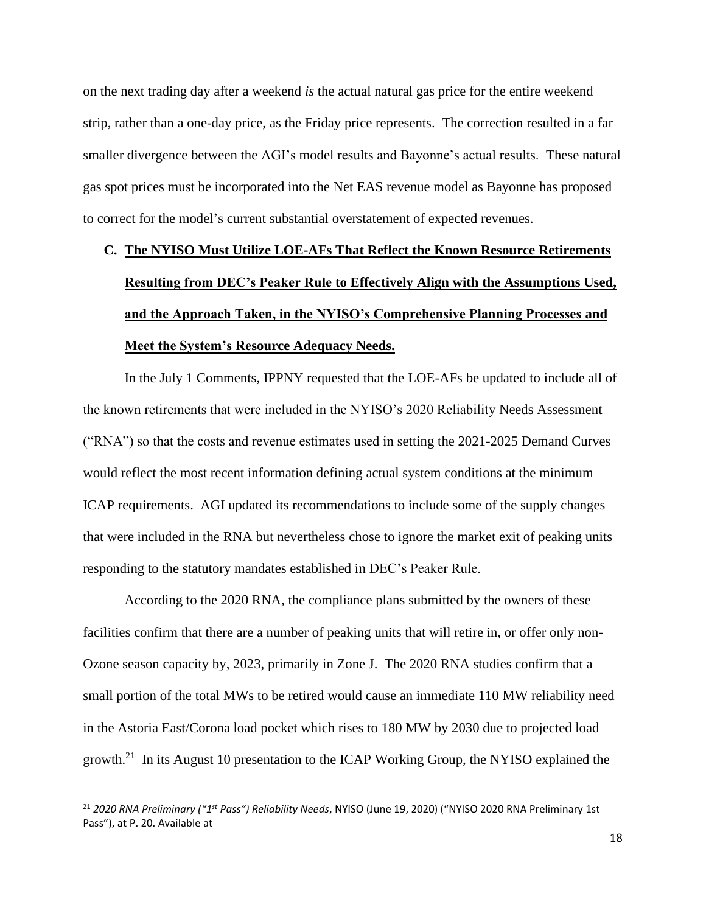on the next trading day after a weekend *is* the actual natural gas price for the entire weekend strip, rather than a one-day price, as the Friday price represents. The correction resulted in a far smaller divergence between the AGI's model results and Bayonne's actual results. These natural gas spot prices must be incorporated into the Net EAS revenue model as Bayonne has proposed to correct for the model's current substantial overstatement of expected revenues.

# **C. The NYISO Must Utilize LOE-AFs That Reflect the Known Resource Retirements Resulting from DEC's Peaker Rule to Effectively Align with the Assumptions Used, and the Approach Taken, in the NYISO's Comprehensive Planning Processes and Meet the System's Resource Adequacy Needs.**

In the July 1 Comments, IPPNY requested that the LOE-AFs be updated to include all of the known retirements that were included in the NYISO's 2020 Reliability Needs Assessment ("RNA") so that the costs and revenue estimates used in setting the 2021-2025 Demand Curves would reflect the most recent information defining actual system conditions at the minimum ICAP requirements. AGI updated its recommendations to include some of the supply changes that were included in the RNA but nevertheless chose to ignore the market exit of peaking units responding to the statutory mandates established in DEC's Peaker Rule.

According to the 2020 RNA, the compliance plans submitted by the owners of these facilities confirm that there are a number of peaking units that will retire in, or offer only non-Ozone season capacity by, 2023, primarily in Zone J. The 2020 RNA studies confirm that a small portion of the total MWs to be retired would cause an immediate 110 MW reliability need in the Astoria East/Corona load pocket which rises to 180 MW by 2030 due to projected load growth.<sup>21</sup> In its August 10 presentation to the ICAP Working Group, the NYISO explained the

<sup>21</sup> *2020 RNA Preliminary ("1st Pass") Reliability Needs*, NYISO (June 19, 2020) ("NYISO 2020 RNA Preliminary 1st Pass"), at P. 20. Available at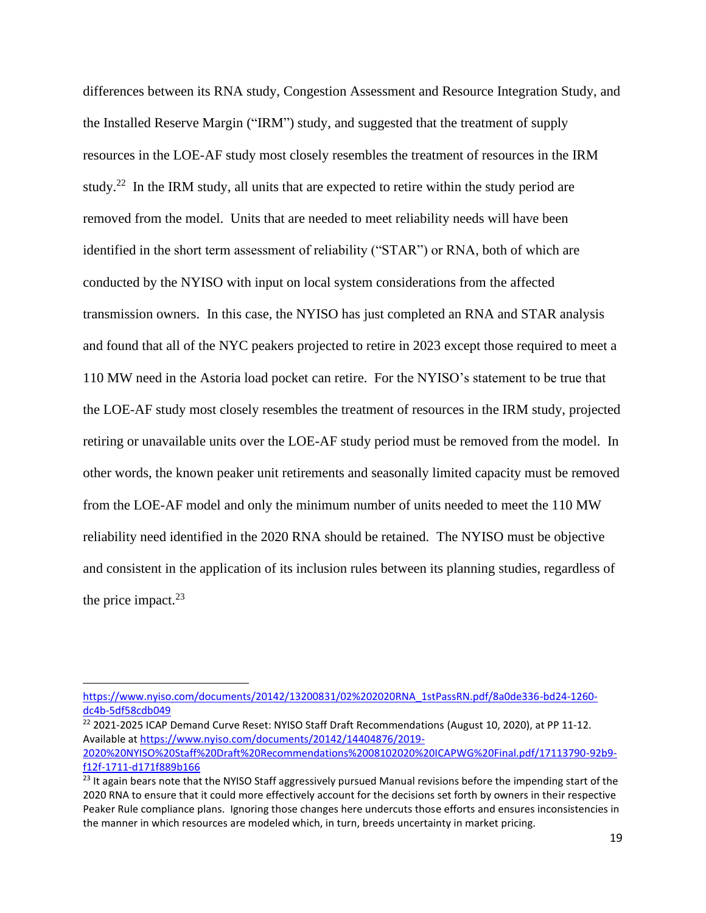differences between its RNA study, Congestion Assessment and Resource Integration Study, and the Installed Reserve Margin ("IRM") study, and suggested that the treatment of supply resources in the LOE-AF study most closely resembles the treatment of resources in the IRM study.<sup>22</sup> In the IRM study, all units that are expected to retire within the study period are removed from the model. Units that are needed to meet reliability needs will have been identified in the short term assessment of reliability ("STAR") or RNA, both of which are conducted by the NYISO with input on local system considerations from the affected transmission owners. In this case, the NYISO has just completed an RNA and STAR analysis and found that all of the NYC peakers projected to retire in 2023 except those required to meet a 110 MW need in the Astoria load pocket can retire. For the NYISO's statement to be true that the LOE-AF study most closely resembles the treatment of resources in the IRM study, projected retiring or unavailable units over the LOE-AF study period must be removed from the model. In other words, the known peaker unit retirements and seasonally limited capacity must be removed from the LOE-AF model and only the minimum number of units needed to meet the 110 MW reliability need identified in the 2020 RNA should be retained. The NYISO must be objective and consistent in the application of its inclusion rules between its planning studies, regardless of the price impact. $23$ 

<sup>22</sup> 2021-2025 ICAP Demand Curve Reset: NYISO Staff Draft Recommendations (August 10, 2020), at PP 11-12. Available a[t https://www.nyiso.com/documents/20142/14404876/2019-](https://www.nyiso.com/documents/20142/14404876/2019-2020%20NYISO%20Staff%20Draft%20Recommendations%2008102020%20ICAPWG%20Final.pdf/17113790-92b9-f12f-1711-d171f889b166) [2020%20NYISO%20Staff%20Draft%20Recommendations%2008102020%20ICAPWG%20Final.pdf/17113790-92b9](https://www.nyiso.com/documents/20142/14404876/2019-2020%20NYISO%20Staff%20Draft%20Recommendations%2008102020%20ICAPWG%20Final.pdf/17113790-92b9-f12f-1711-d171f889b166) [f12f-1711-d171f889b166](https://www.nyiso.com/documents/20142/14404876/2019-2020%20NYISO%20Staff%20Draft%20Recommendations%2008102020%20ICAPWG%20Final.pdf/17113790-92b9-f12f-1711-d171f889b166)

[https://www.nyiso.com/documents/20142/13200831/02%202020RNA\\_1stPassRN.pdf/8a0de336-bd24-1260](https://www.nyiso.com/documents/20142/13200831/02%202020RNA_1stPassRN.pdf/8a0de336-bd24-1260-dc4b-5df58cdb049) [dc4b-5df58cdb049](https://www.nyiso.com/documents/20142/13200831/02%202020RNA_1stPassRN.pdf/8a0de336-bd24-1260-dc4b-5df58cdb049) 

<sup>&</sup>lt;sup>23</sup> It again bears note that the NYISO Staff aggressively pursued Manual revisions before the impending start of the 2020 RNA to ensure that it could more effectively account for the decisions set forth by owners in their respective Peaker Rule compliance plans. Ignoring those changes here undercuts those efforts and ensures inconsistencies in the manner in which resources are modeled which, in turn, breeds uncertainty in market pricing.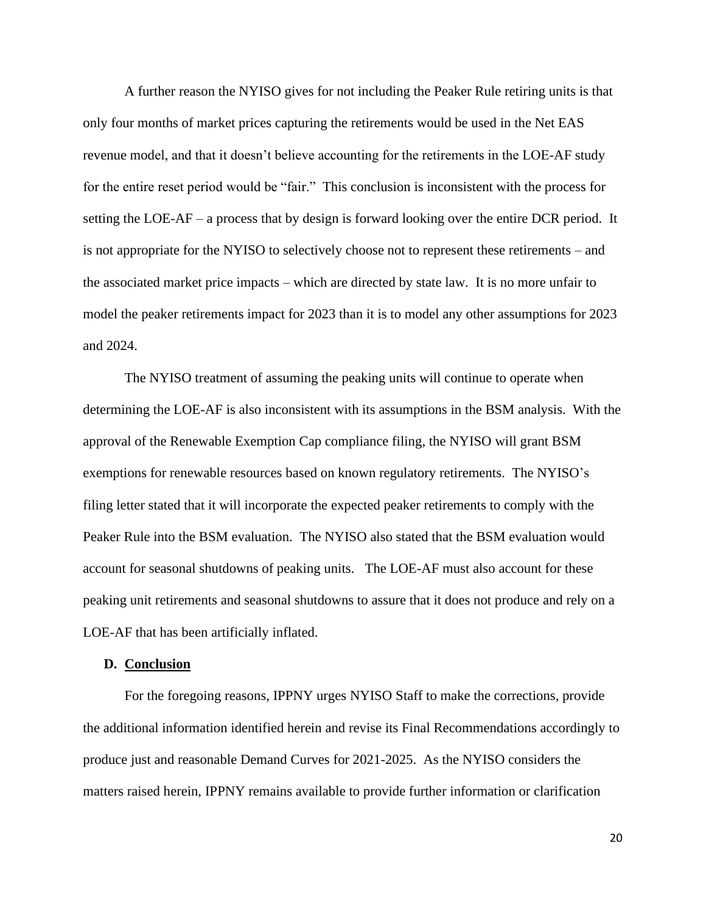A further reason the NYISO gives for not including the Peaker Rule retiring units is that only four months of market prices capturing the retirements would be used in the Net EAS revenue model, and that it doesn't believe accounting for the retirements in the LOE-AF study for the entire reset period would be "fair." This conclusion is inconsistent with the process for setting the LOE-AF – a process that by design is forward looking over the entire DCR period. It is not appropriate for the NYISO to selectively choose not to represent these retirements – and the associated market price impacts – which are directed by state law. It is no more unfair to model the peaker retirements impact for 2023 than it is to model any other assumptions for 2023 and 2024.

The NYISO treatment of assuming the peaking units will continue to operate when determining the LOE-AF is also inconsistent with its assumptions in the BSM analysis. With the approval of the Renewable Exemption Cap compliance filing, the NYISO will grant BSM exemptions for renewable resources based on known regulatory retirements. The NYISO's filing letter stated that it will incorporate the expected peaker retirements to comply with the Peaker Rule into the BSM evaluation. The NYISO also stated that the BSM evaluation would account for seasonal shutdowns of peaking units. The LOE-AF must also account for these peaking unit retirements and seasonal shutdowns to assure that it does not produce and rely on a LOE-AF that has been artificially inflated.

#### **D. Conclusion**

For the foregoing reasons, IPPNY urges NYISO Staff to make the corrections, provide the additional information identified herein and revise its Final Recommendations accordingly to produce just and reasonable Demand Curves for 2021-2025. As the NYISO considers the matters raised herein, IPPNY remains available to provide further information or clarification

20